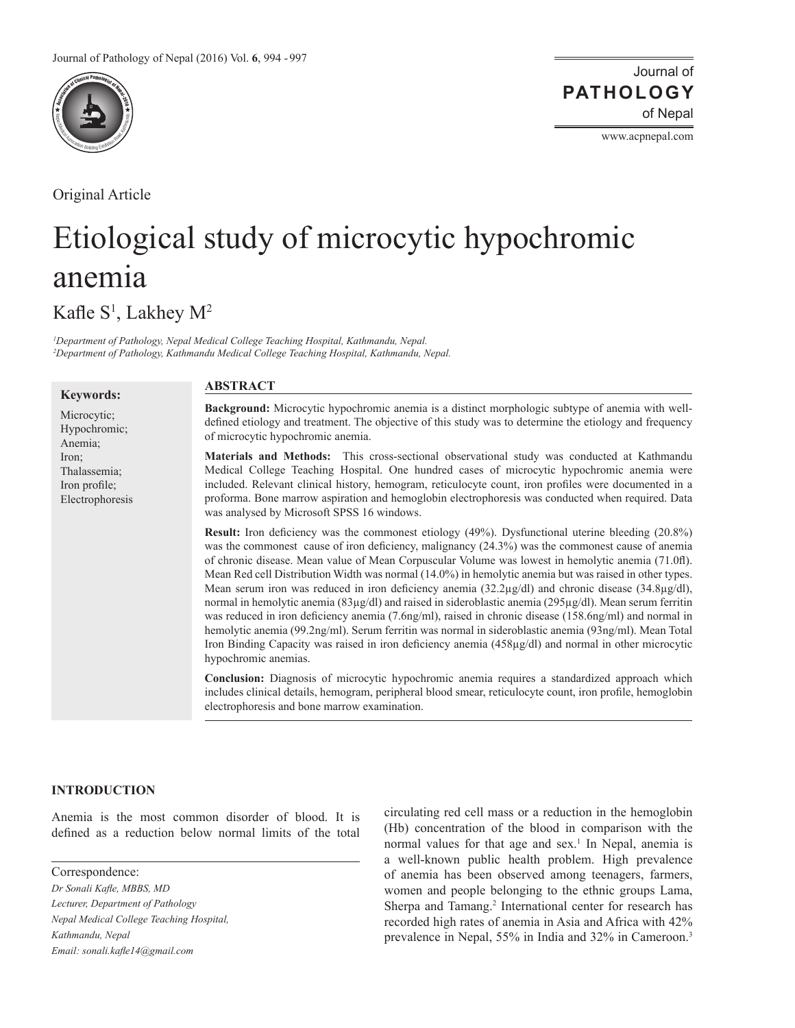

Original Article

Journal of of Nepal **PATHOLOGY**

www.acpnepal.com

# Etiological study of microcytic hypochromic anemia

Kafle S<sup>1</sup>, Lakhey M<sup>2</sup>

*1 Department of Pathology, Nepal Medical College Teaching Hospital, Kathmandu, Nepal. 2 Department of Pathology, Kathmandu Medical College Teaching Hospital, Kathmandu, Nepal.*

**Keywords:** Microcytic;

Hypochromic; Anemia; Iron; Thalassemia; Iron profile; Electrophoresis

# **ABSTRACT**

**Background:** Microcytic hypochromic anemia is a distinct morphologic subtype of anemia with welldefined etiology and treatment. The objective of this study was to determine the etiology and frequency of microcytic hypochromic anemia.

**Materials and Methods:** This cross-sectional observational study was conducted at Kathmandu Medical College Teaching Hospital. One hundred cases of microcytic hypochromic anemia were included. Relevant clinical history, hemogram, reticulocyte count, iron profiles were documented in a proforma. Bone marrow aspiration and hemoglobin electrophoresis was conducted when required. Data was analysed by Microsoft SPSS 16 windows.

**Result:** Iron deficiency was the commonest etiology (49%). Dysfunctional uterine bleeding (20.8%) was the commonest cause of iron deficiency, malignancy  $(24.3%)$  was the commonest cause of anemia of chronic disease. Mean value of Mean Corpuscular Volume was lowest in hemolytic anemia (71.0fl). Mean Red cell Distribution Width was normal (14.0%) in hemolytic anemia but was raised in other types. Mean serum iron was reduced in iron deficiency anemia  $(32.2\mu\text{g/dl})$  and chronic disease  $(34.8\mu\text{g/dl})$ , normal in hemolytic anemia (83μg/dl) and raised in sideroblastic anemia (295μg/dl). Mean serum ferritin was reduced in iron deficiency anemia (7.6ng/ml), raised in chronic disease (158.6ng/ml) and normal in hemolytic anemia (99.2ng/ml). Serum ferritin was normal in sideroblastic anemia (93ng/ml). Mean Total Iron Binding Capacity was raised in iron deficiency anemia (458µg/dl) and normal in other microcytic hypochromic anemias.

**Conclusion:** Diagnosis of microcytic hypochromic anemia requires a standardized approach which includes clinical details, hemogram, peripheral blood smear, reticulocyte count, iron profile, hemoglobin electrophoresis and bone marrow examination.

# **INTRODUCTION**

Anemia is the most common disorder of blood. It is defined as a reduction below normal limits of the total

Correspondence: *Dr Sonali Kafle, MBBS, MD Lecturer, Department of Pathology Nepal Medical College Teaching Hospital, Kathmandu, Nepal Email: sonali.kafle14@gmail.com*

circulating red cell mass or a reduction in the hemoglobin (Hb) concentration of the blood in comparison with the normal values for that age and sex.<sup>1</sup> In Nepal, anemia is a well-known public health problem. High prevalence of anemia has been observed among teenagers, farmers, women and people belonging to the ethnic groups Lama, Sherpa and Tamang.<sup>2</sup> International center for research has recorded high rates of anemia in Asia and Africa with 42% prevalence in Nepal, 55% in India and 32% in Cameroon.3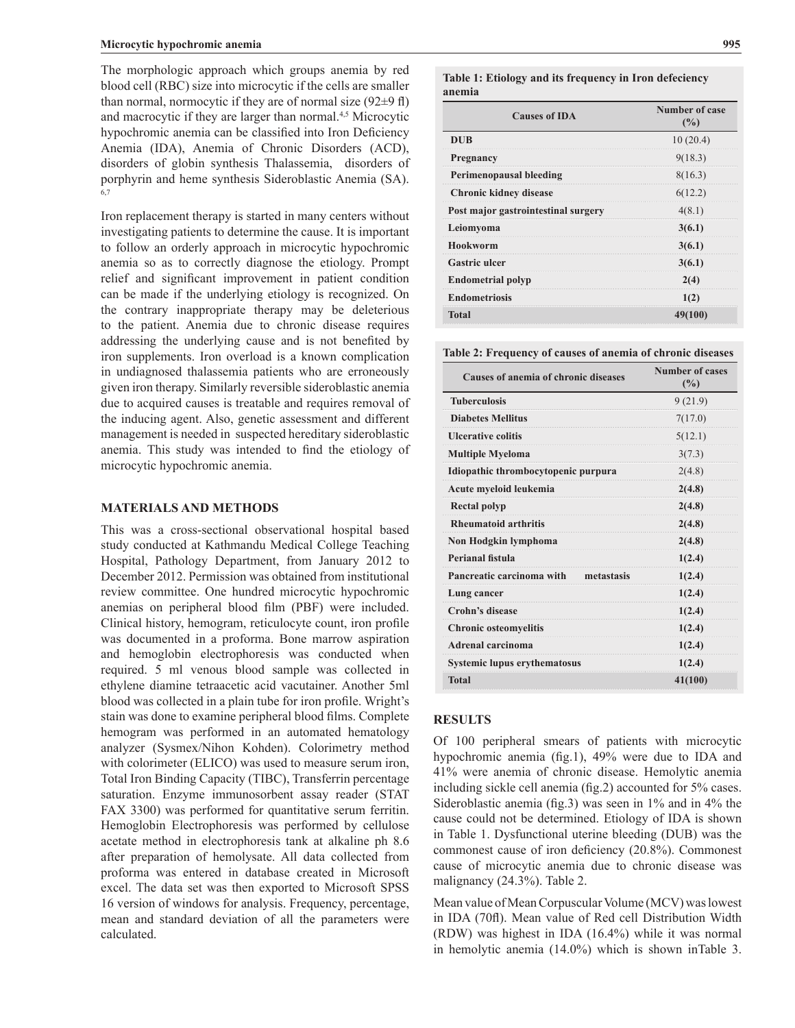The morphologic approach which groups anemia by red blood cell (RBC) size into microcytic if the cells are smaller than normal, normocytic if they are of normal size  $(92\pm 9 \text{ fl})$ and macrocytic if they are larger than normal.4,5 Microcytic hypochromic anemia can be classified into Iron Deficiency Anemia (IDA), Anemia of Chronic Disorders (ACD), disorders of globin synthesis Thalassemia, disorders of porphyrin and heme synthesis Sideroblastic Anemia (SA). 6,7

Iron replacement therapy is started in many centers without investigating patients to determine the cause. It is important to follow an orderly approach in microcytic hypochromic anemia so as to correctly diagnose the etiology. Prompt relief and significant improvement in patient condition can be made if the underlying etiology is recognized. On the contrary inappropriate therapy may be deleterious to the patient. Anemia due to chronic disease requires addressing the underlying cause and is not benefited by iron supplements. Iron overload is a known complication in undiagnosed thalassemia patients who are erroneously given iron therapy. Similarly reversible sideroblastic anemia due to acquired causes is treatable and requires removal of the inducing agent. Also, genetic assessment and different management is needed in suspected hereditary sideroblastic anemia. This study was intended to find the etiology of microcytic hypochromic anemia.

### **MATERIALS AND METHODS**

This was a cross-sectional observational hospital based study conducted at Kathmandu Medical College Teaching Hospital, Pathology Department, from January 2012 to December 2012. Permission was obtained from institutional review committee. One hundred microcytic hypochromic anemias on peripheral blood film (PBF) were included. Clinical history, hemogram, reticulocyte count, iron profile was documented in a proforma. Bone marrow aspiration and hemoglobin electrophoresis was conducted when required. 5 ml venous blood sample was collected in ethylene diamine tetraacetic acid vacutainer. Another 5ml blood was collected in a plain tube for iron profile. Wright's stain was done to examine peripheral blood films. Complete hemogram was performed in an automated hematology analyzer (Sysmex/Nihon Kohden). Colorimetry method with colorimeter (ELICO) was used to measure serum iron, Total Iron Binding Capacity (TIBC), Transferrin percentage saturation. Enzyme immunosorbent assay reader (STAT FAX 3300) was performed for quantitative serum ferritin. Hemoglobin Electrophoresis was performed by cellulose acetate method in electrophoresis tank at alkaline ph 8.6 after preparation of hemolysate. All data collected from proforma was entered in database created in Microsoft excel. The data set was then exported to Microsoft SPSS 16 version of windows for analysis. Frequency, percentage, mean and standard deviation of all the parameters were calculated.

**Table 1: Etiology and its frequency in Iron defeciency anemia** 

| <b>Causes of IDA</b>                | <b>Number of case</b><br>$(\%)$ |  |
|-------------------------------------|---------------------------------|--|
| <b>DUR</b>                          | 10(20.4)                        |  |
| <b>Pregnancy</b>                    | 9(18.3)                         |  |
| <b>Perimenopausal bleeding</b>      | 8(16.3)                         |  |
| <b>Chronic kidney disease</b>       | 6(12.2)                         |  |
| Post major gastrointestinal surgery | 4(8.1)                          |  |
| Leiomyoma                           | 3(6.1)                          |  |
| Hookworm                            | 3(6.1)                          |  |
| <b>Gastric ulcer</b>                | 3(6.1)                          |  |
| <b>Endometrial polyp</b>            |                                 |  |
| <b>Endometriosis</b>                |                                 |  |
| Total                               |                                 |  |

|  | Table 2: Frequency of causes of anemia of chronic diseases |  |  |  |  |
|--|------------------------------------------------------------|--|--|--|--|
|  |                                                            |  |  |  |  |

| <b>Causes of anemia of chronic diseases</b> | <b>Number of cases</b><br>(%) |
|---------------------------------------------|-------------------------------|
| <b>Tuberculosis</b>                         | 9(21.9)                       |
| Diabetes Mellitus                           | 7(17.0)                       |
| <b>Illcerative colitis</b>                  | 5(12.1)                       |
| <b>Multiple Myeloma</b>                     | 3(7.3)                        |
| Idiopathic thrombocytopenic purpura         | 2(4.8)                        |
| Acute myeloid leukemia                      | 2(4.8)                        |
| <b>Rectal polyp</b>                         | 2(4.8)                        |
| <b>Rheumatoid arthritis</b>                 | 2(4.8)                        |
| Non Hodgkin lymphoma                        | 2(4.8)                        |
| Perianal fistula                            | 1(2.4)                        |
| Pancreatic carcinoma with<br>metastasis     | 1(2.4)                        |
| Lung cancer                                 | 1(2.4)                        |
| Crohn's disease                             | 1(2.4)                        |
| Chronic osteomyelitis                       | 1(2.4)                        |
| Adrenal carcinoma                           | 1(2.4)                        |
| <b>Systemic lupus erythematosus</b>         | 1(2.4)                        |
| <b>Total</b>                                | 41(100)                       |
|                                             |                               |

# **RESULTS**

Of 100 peripheral smears of patients with microcytic hypochromic anemia (fig.1), 49% were due to IDA and 41% were anemia of chronic disease. Hemolytic anemia including sickle cell anemia (fig.2) accounted for 5% cases. Sideroblastic anemia (fig.3) was seen in 1% and in 4% the cause could not be determined. Etiology of IDA is shown in Table 1. Dysfunctional uterine bleeding (DUB) was the commonest cause of iron deficiency (20.8%). Commonest cause of microcytic anemia due to chronic disease was malignancy (24.3%). Table 2.

Mean value of Mean Corpuscular Volume (MCV) was lowest in IDA (70fl). Mean value of Red cell Distribution Width (RDW) was highest in IDA (16.4%) while it was normal in hemolytic anemia (14.0%) which is shown inTable 3.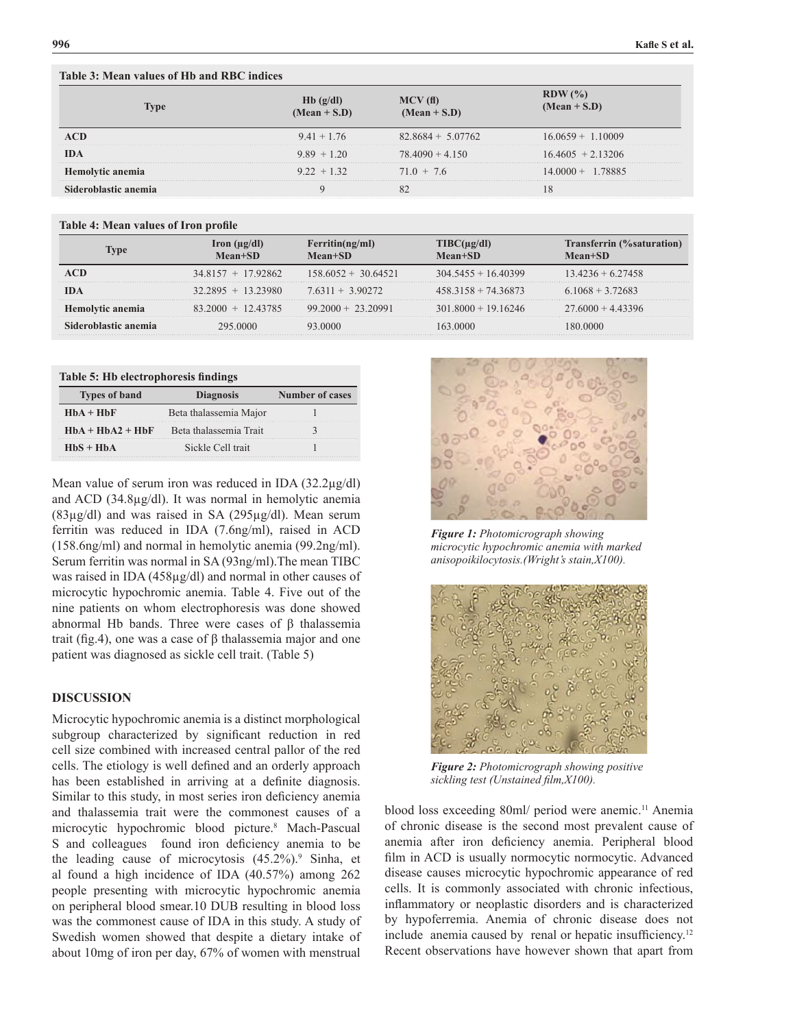# **Table 3: Mean values of Hb and RBC indices**

| Type                 | Hb(g/dl)<br>$(Mean + S.D)$ | MCV(f)<br>$(Mean + S.D)$ | $RDW$ $%$<br>$(Mean + S.D)$ |
|----------------------|----------------------------|--------------------------|-----------------------------|
| <b>ACD</b>           | $9.41 + 1.76$              | $82.8684 + 5.07762$      | $16.0659 + 1.10009$         |
| <b>IDA</b>           | $9.89 + 1.20$              | $78.4090 + 4.150$        | $16.4605 + 2.13206$         |
| Hemolytic anemia     | $9.22 + 1.32$              | $71.0 + 7.6$             | $14.0000 + 1.78885$         |
| Sideroblastic anemia |                            |                          | 18                          |

#### **Table 4: Mean values of Iron profile**

| <b>Type</b>          | Iron $(\mu g/dl)$<br>Mean+SD | Ferritin(ng/ml)<br>$Mean+SD$ | $T\text{IBC}(\mu\text{g}/\text{d}l)$<br>$Mean+SD$ | Transferrin (%saturation)<br>$Mean+SD$ |
|----------------------|------------------------------|------------------------------|---------------------------------------------------|----------------------------------------|
| <b>ACD</b>           | $34.8157 + 17.92862$         | $158.6052 + 30.64521$        | $304.5455 + 16.40399$                             | $13.4236 + 6.27458$                    |
| <b>IDA</b>           | $32.2895 + 13.23980$         | $76311 + 390272$             | $458.3158 + 74.36873$                             | $6.1068 + 3.72683$                     |
| Hemolytic anemia     | $83.2000 + 12.43785$         | $99.2000 + 23.20991$         | $301.8000 + 19.16246$                             | $27.6000 + 4.43396$                    |
| Sideroblastic anemia | 295 0000                     | 93.0000                      | 163 0000                                          | 180 0000                               |

| Table 5: Hb electrophoresis findings |                        |                        |  |  |  |
|--------------------------------------|------------------------|------------------------|--|--|--|
| <b>Types of band</b>                 | <b>Diagnosis</b>       | <b>Number of cases</b> |  |  |  |
| $HbA + HbF$                          | Beta thalassemia Major |                        |  |  |  |
| $HbA + HbA2 + HbF$                   | Beta thalassemia Trait |                        |  |  |  |
| $HbS + HbA$                          | Sickle Cell trait      |                        |  |  |  |

Mean value of serum iron was reduced in IDA (32.2µg/dl) and ACD (34.8µg/dl). It was normal in hemolytic anemia (83µg/dl) and was raised in SA (295µg/dl). Mean serum ferritin was reduced in IDA (7.6ng/ml), raised in ACD (158.6ng/ml) and normal in hemolytic anemia (99.2ng/ml). Serum ferritin was normal in SA (93ng/ml).The mean TIBC was raised in IDA (458µg/dl) and normal in other causes of microcytic hypochromic anemia. Table 4. Five out of the nine patients on whom electrophoresis was done showed abnormal Hb bands. Three were cases of β thalassemia trait (fig.4), one was a case of β thalassemia major and one patient was diagnosed as sickle cell trait. (Table 5)

## **DISCUSSION**

Microcytic hypochromic anemia is a distinct morphological subgroup characterized by significant reduction in red cell size combined with increased central pallor of the red cells. The etiology is well defined and an orderly approach has been established in arriving at a definite diagnosis. Similar to this study, in most series iron deficiency anemia and thalassemia trait were the commonest causes of a microcytic hypochromic blood picture.<sup>8</sup> Mach-Pascual S and colleagues found iron deficiency anemia to be the leading cause of microcytosis  $(45.2\%)$ . Sinha, et al found a high incidence of IDA (40.57%) among 262 people presenting with microcytic hypochromic anemia on peripheral blood smear.10 DUB resulting in blood loss was the commonest cause of IDA in this study. A study of Swedish women showed that despite a dietary intake of about 10mg of iron per day, 67% of women with menstrual



*Figure 1: Photomicrograph showing microcytic hypochromic anemia with marked anisopoikilocytosis.(Wright's stain,X100).*



*Figure 2: Photomicrograph showing positive sickling test (Unstained film,X100).*

blood loss exceeding 80ml/ period were anemic.<sup>11</sup> Anemia of chronic disease is the second most prevalent cause of anemia after iron deficiency anemia. Peripheral blood film in ACD is usually normocytic normocytic. Advanced disease causes microcytic hypochromic appearance of red cells. It is commonly associated with chronic infectious, inflammatory or neoplastic disorders and is characterized by hypoferremia. Anemia of chronic disease does not include anemia caused by renal or hepatic insufficiency.<sup>12</sup> Recent observations have however shown that apart from